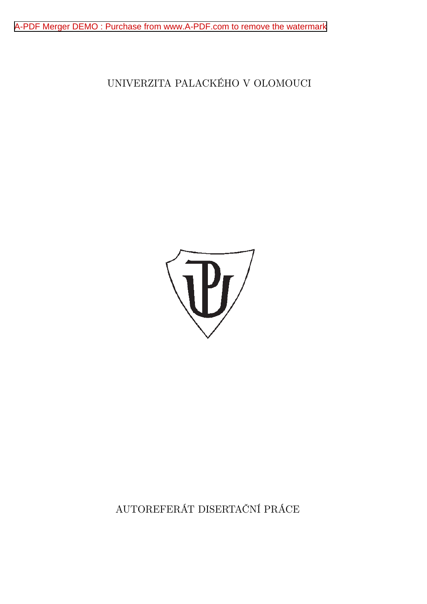[A-PDF Merger DEMO : Purchase from www.A-PDF.com to remove the watermark](http://www.a-pdf.com)

UNIVERZITA PALACKÉHO V OLOMOUCI



# AUTOREFERÁT DISERTAČNÍ PRÁCE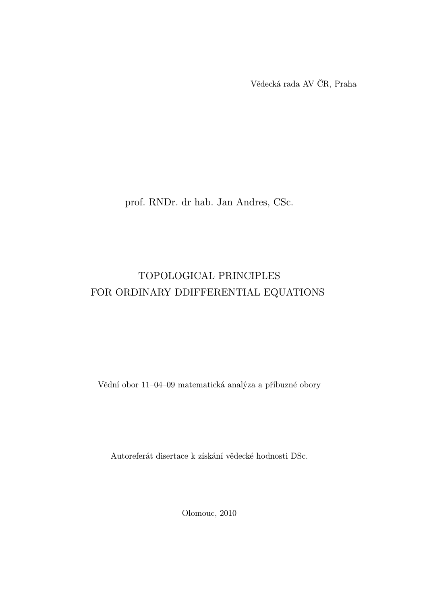Vědecká rada AV ČR, Praha

prof. RNDr. dr hab. Jan Andres, CSc.

# TOPOLOGICAL PRINCIPLES FOR ORDINARY DDIFFERENTIAL EQUATIONS

Vědní obor 11–04–09 matematická analýza a příbuzné obory

Autoreferát disertace k získání vědecké hodnosti DSc.

Olomouc, 2010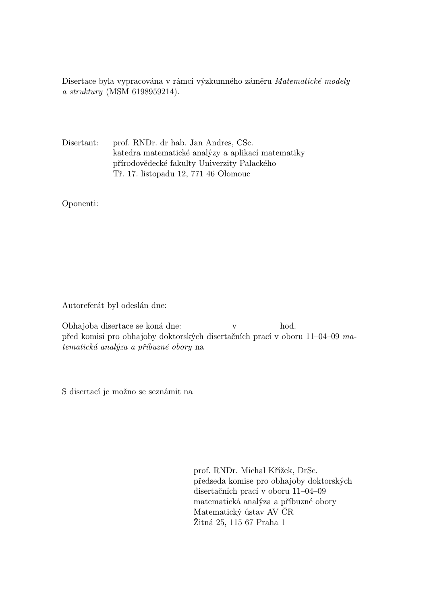Disertace byla vypracována v rámci výzkumného záměru Matematické modely a struktury (MSM 6198959214).

Disertant: prof. RNDr. dr hab. Jan Andres, CSc. katedra matematické analýzy a aplikací matematiky přírodovědecké fakulty Univerzity Palackého Tř. 17. listopadu 12, 771 46 Olomouc

Oponenti:

Autoreferát byl odeslán dne:

Obhajoba disertace se koná dne: v hod. před komisí pro obhajoby doktorských disertačních prací v oboru 11–04–09 matematická analýza a příbuzné obory na

S disertací je možno se seznámit na

prof. RNDr. Michal Křížek, DrSc. předseda komise pro obhajoby doktorských disertačních prací v oboru 11–04–09 matematická analýza a příbuzné obory Matematický ústav AV ČR Žitná 25, 115 67 Praha 1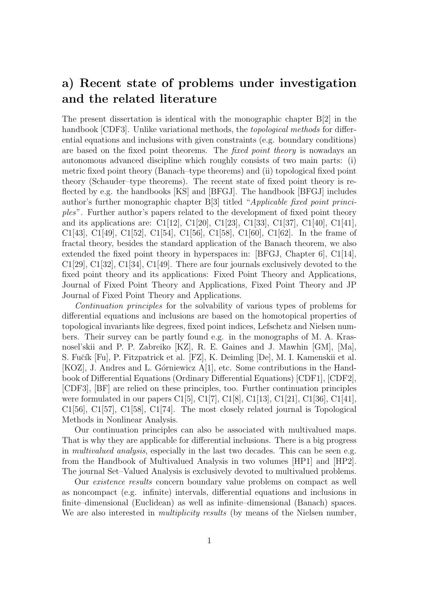## a) Recent state of problems under investigation and the related literature

The present dissertation is identical with the monographic chapter B[2] in the handbook [CDF3]. Unlike variational methods, the *topological methods* for differential equations and inclusions with given constraints (e.g. boundary conditions) are based on the fixed point theorems. The *fixed point theory* is nowadays an autonomous advanced discipline which roughly consists of two main parts: (i) metric fixed point theory (Banach–type theorems) and (ii) topological fixed point theory (Schauder–type theorems). The recent state of fixed point theory is reflected by e.g. the handbooks [KS] and [BFGJ]. The handbook [BFGJ] includes author's further monographic chapter B[3] titled "Applicable fixed point principles". Further author's papers related to the development of fixed point theory and its applications are: C1[12], C1[20], C1[23], C1[33], C1[37], C1[40], C1[41], C1[43], C1[49], C1[52], C1[54], C1[56], C1[58], C1[60], C1[62]. In the frame of fractal theory, besides the standard application of the Banach theorem, we also extended the fixed point theory in hyperspaces in: [BFGJ, Chapter 6], C1[14], C1[29], C1[32], C1[34], C1[49]. There are four journals exclusively devoted to the fixed point theory and its applications: Fixed Point Theory and Applications, Journal of Fixed Point Theory and Applications, Fixed Point Theory and JP Journal of Fixed Point Theory and Applications.

Continuation principles for the solvability of various types of problems for differential equations and inclusions are based on the homotopical properties of topological invariants like degrees, fixed point indices, Lefschetz and Nielsen numbers. Their survey can be partly found e.g. in the monographs of M. A. Krasnosel'skii and P. P. Zabreiko [KZ], R. E. Gaines and J. Mawhin [GM], [Ma], S. Fučík [Fu], P. Fitzpatrick et al. [FZ], K. Deimling [De], M. I. Kamenskii et al. [KOZ], J. Andres and L. Górniewicz  $A[1]$ , etc. Some contributions in the Handbook of Differential Equations (Ordinary Differential Equations) [CDF1], [CDF2], [CDF3], [BF] are relied on these principles, too. Further continuation principles were formulated in our papers C1[5], C1[7], C1[8], C1[13], C1[21], C1[36], C1[41], C1[56], C1[57], C1[58], C1[74]. The most closely related journal is Topological Methods in Nonlinear Analysis.

Our continuation principles can also be associated with multivalued maps. That is why they are applicable for differential inclusions. There is a big progress in multivalued analysis, especially in the last two decades. This can be seen e.g. from the Handbook of Multivalued Analysis in two volumes [HP1] and [HP2]. The journal Set–Valued Analysis is exclusively devoted to multivalued problems.

Our existence results concern boundary value problems on compact as well as noncompact (e.g. infinite) intervals, differential equations and inclusions in finite–dimensional (Euclidean) as well as infinite–dimensional (Banach) spaces. We are also interested in *multiplicity results* (by means of the Nielsen number,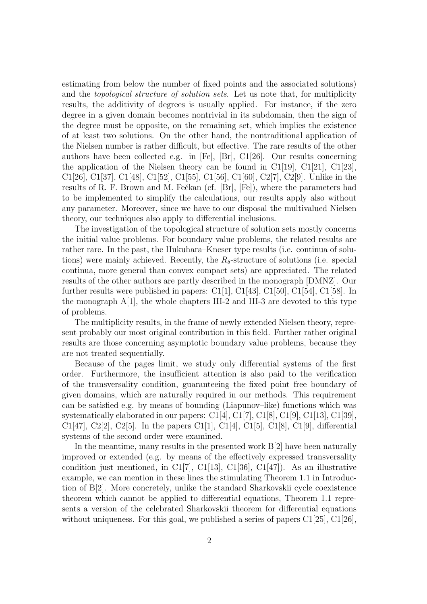estimating from below the number of fixed points and the associated solutions) and the topological structure of solution sets. Let us note that, for multiplicity results, the additivity of degrees is usually applied. For instance, if the zero degree in a given domain becomes nontrivial in its subdomain, then the sign of the degree must be opposite, on the remaining set, which implies the existence of at least two solutions. On the other hand, the nontraditional application of the Nielsen number is rather difficult, but effective. The rare results of the other authors have been collected e.g. in [Fe], [Br], C1[26]. Our results concerning the application of the Nielsen theory can be found in C1[19], C1[21], C1[23], C1[26], C1[37], C1[48], C1[52], C1[55], C1[56], C1[60], C2[7], C2[9]. Unlike in the results of R. F. Brown and M. Fečkan (cf. [Br], [Fe]), where the parameters had to be implemented to simplify the calculations, our results apply also without any parameter. Moreover, since we have to our disposal the multivalued Nielsen theory, our techniques also apply to differential inclusions.

The investigation of the topological structure of solution sets mostly concerns the initial value problems. For boundary value problems, the related results are rather rare. In the past, the Hukuhara–Kneser type results (i.e. continua of solutions) were mainly achieved. Recently, the  $R_{\delta}$ -structure of solutions (i.e. special continua, more general than convex compact sets) are appreciated. The related results of the other authors are partly described in the monograph [DMNZ]. Our further results were published in papers: C1[1], C1[43], C1[50], C1[54], C1[58]. In the monograph A[1], the whole chapters III-2 and III-3 are devoted to this type of problems.

The multiplicity results, in the frame of newly extended Nielsen theory, represent probably our most original contribution in this field. Further rather original results are those concerning asymptotic boundary value problems, because they are not treated sequentially.

Because of the pages limit, we study only differential systems of the first order. Furthermore, the insufficient attention is also paid to the verification of the transversality condition, guaranteeing the fixed point free boundary of given domains, which are naturally required in our methods. This requirement can be satisfied e.g. by means of bounding (Liapunov–like) functions which was systematically elaborated in our papers: C1[4], C1[7], C1[8], C1[9], C1[13], C1[39], C1[47], C2[2], C2[5]. In the papers C1[1], C1[4], C1[5], C1[8], C1[9], differential systems of the second order were examined.

In the meantime, many results in the presented work  $B[2]$  have been naturally improved or extended (e.g. by means of the effectively expressed transversality condition just mentioned, in C1[7], C1[13], C1[36], C1[47]). As an illustrative example, we can mention in these lines the stimulating Theorem 1.1 in Introduction of B[2]. More concretely, unlike the standard Sharkovskii cycle coexistence theorem which cannot be applied to differential equations, Theorem 1.1 represents a version of the celebrated Sharkovskii theorem for differential equations without uniqueness. For this goal, we published a series of papers  $C1[25]$ ,  $C1[26]$ ,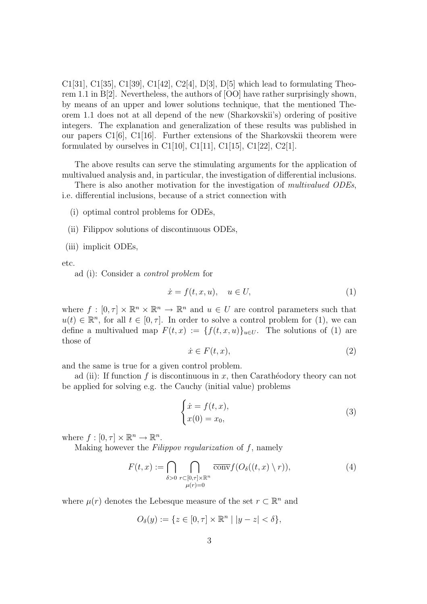C1[31], C1[35], C1[39], C1[42], C2[4], D[3], D[5] which lead to formulating Theorem 1.1 in B[2]. Nevertheless, the authors of [OO] have rather surprisingly shown, by means of an upper and lower solutions technique, that the mentioned Theorem 1.1 does not at all depend of the new (Sharkovskii's) ordering of positive integers. The explanation and generalization of these results was published in our papers C1[6], C1[16]. Further extensions of the Sharkovskii theorem were formulated by ourselves in C1[10], C1[11], C1[15], C1[22], C2[1].

The above results can serve the stimulating arguments for the application of multivalued analysis and, in particular, the investigation of differential inclusions.

There is also another motivation for the investigation of multivalued ODEs, i.e. differential inclusions, because of a strict connection with

- (i) optimal control problems for ODEs,
- (ii) Filippov solutions of discontinuous ODEs,
- (iii) implicit ODEs,

etc.

ad (i): Consider a control problem for

$$
\dot{x} = f(t, x, u), \quad u \in U,\tag{1}
$$

where  $f : [0, \tau] \times \mathbb{R}^n \times \mathbb{R}^n \to \mathbb{R}^n$  and  $u \in U$  are control parameters such that  $u(t) \in \mathbb{R}^n$ , for all  $t \in [0, \tau]$ . In order to solve a control problem for (1), we can define a multivalued map  $F(t,x) := \{f(t,x,u)\}_{u\in U}$ . The solutions of (1) are those of

$$
\dot{x} \in F(t, x),\tag{2}
$$

and the same is true for a given control problem.

ad (ii): If function f is discontinuous in x, then Carathéodory theory can not be applied for solving e.g. the Cauchy (initial value) problems

$$
\begin{cases}\n\dot{x} = f(t, x), \\
x(0) = x_0,\n\end{cases}
$$
\n(3)

where  $f: [0, \tau] \times \mathbb{R}^n \to \mathbb{R}^n$ .

Making however the Filippov regularization of  $f$ , namely

$$
F(t,x) := \bigcap_{\delta > 0} \bigcap_{\substack{r \subset [0,\tau] \times \mathbb{R}^n \\ \mu(r) = 0}} \overline{\text{conv}} f(O_\delta((t,x) \setminus r)),\tag{4}
$$

where  $\mu(r)$  denotes the Lebesque measure of the set  $r \in \mathbb{R}^n$  and

$$
O_{\delta}(y) := \{ z \in [0, \tau] \times \mathbb{R}^n \mid |y - z| < \delta \},
$$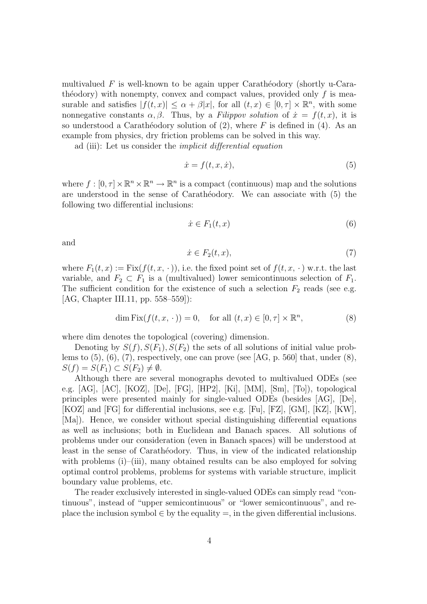multivalued  $F$  is well-known to be again upper Carathéodory (shortly u-Caratherefodory) with nonempty, convex and compact values, provided only  $f$  is measurable and satisfies  $|f(t,x)| \leq \alpha + \beta |x|$ , for all  $(t,x) \in [0, \tau] \times \mathbb{R}^n$ , with some nonnegative constants  $\alpha, \beta$ . Thus, by a Filippov solution of  $\dot{x} = f(t, x)$ , it is so understood a Carathéodory solution of  $(2)$ , where F is defined in  $(4)$ . As an example from physics, dry friction problems can be solved in this way.

ad (iii): Let us consider the implicit differential equation

$$
\dot{x} = f(t, x, \dot{x}),\tag{5}
$$

where  $f: [0, \tau] \times \mathbb{R}^n \times \mathbb{R}^n \to \mathbb{R}^n$  is a compact (continuous) map and the solutions are understood in the sense of Carathéodory. We can associate with (5) the following two differential inclusions:

$$
\dot{x} \in F_1(t, x) \tag{6}
$$

and

$$
\dot{x} \in F_2(t, x),\tag{7}
$$

where  $F_1(t,x) := \text{Fix}(f(t,x,\cdot))$ , i.e. the fixed point set of  $f(t,x,\cdot)$  w.r.t. the last variable, and  $F_2 \subset F_1$  is a (multivalued) lower semicontinuous selection of  $F_1$ . The sufficient condition for the existence of such a selection  $F_2$  reads (see e.g. [AG, Chapter III.11, pp. 558–559]):

$$
\dim \text{Fix}(f(t, x, \cdot)) = 0, \quad \text{for all } (t, x) \in [0, \tau] \times \mathbb{R}^n,
$$
 (8)

where dim denotes the topological (covering) dimension.

Denoting by  $S(f), S(F_1), S(F_2)$  the sets of all solutions of initial value problems to  $(5)$ ,  $(6)$ ,  $(7)$ , respectively, one can prove (see [AG, p. 560] that, under  $(8)$ ,  $S(f) = S(F_1) \subset S(F_2) \neq \emptyset.$ 

Although there are several monographs devoted to multivalued ODEs (see e.g. [AG], [AC], [KOZ], [De], [FG], [HP2], [Ki], [MM], [Sm], [To]), topological principles were presented mainly for single-valued ODEs (besides [AG], [De], [KOZ] and [FG] for differential inclusions, see e.g. [Fu], [FZ], [GM], [KZ], [KW], [Ma]). Hence, we consider without special distinguishing differential equations as well as inclusions; both in Euclidean and Banach spaces. All solutions of problems under our consideration (even in Banach spaces) will be understood at least in the sense of Carathéodory. Thus, in view of the indicated relationship with problems  $(i)$ – $(iii)$ , many obtained results can be also employed for solving optimal control problems, problems for systems with variable structure, implicit boundary value problems, etc.

The reader exclusively interested in single-valued ODEs can simply read "continuous", instead of "upper semicontinuous" or "lower semicontinuous", and replace the inclusion symbol  $\in$  by the equality  $=$ , in the given differential inclusions.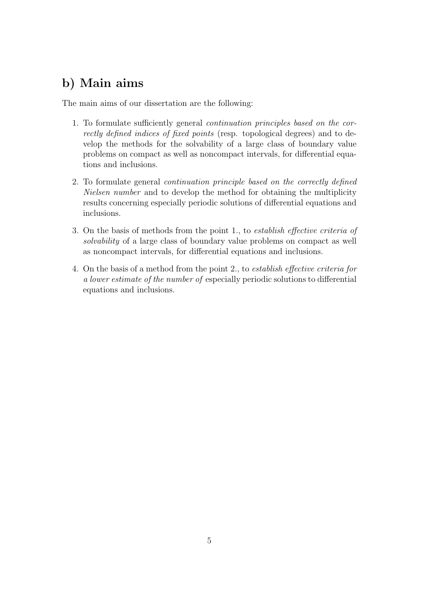## b) Main aims

The main aims of our dissertation are the following:

- 1. To formulate sufficiently general continuation principles based on the correctly defined indices of fixed points (resp. topological degrees) and to develop the methods for the solvability of a large class of boundary value problems on compact as well as noncompact intervals, for differential equations and inclusions.
- 2. To formulate general continuation principle based on the correctly defined Nielsen number and to develop the method for obtaining the multiplicity results concerning especially periodic solutions of differential equations and inclusions.
- 3. On the basis of methods from the point 1., to establish effective criteria of solvability of a large class of boundary value problems on compact as well as noncompact intervals, for differential equations and inclusions.
- 4. On the basis of a method from the point 2., to establish effective criteria for a lower estimate of the number of especially periodic solutions to differential equations and inclusions.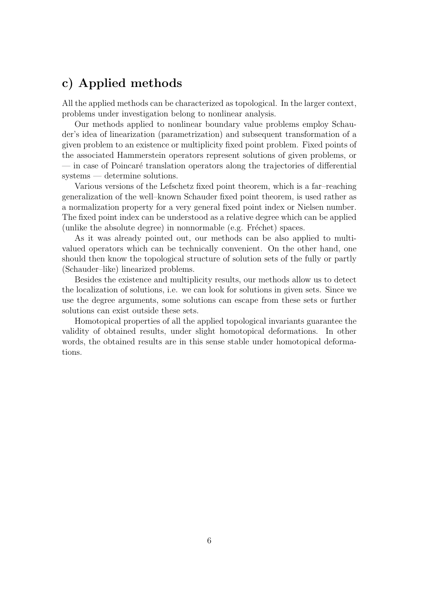## c) Applied methods

All the applied methods can be characterized as topological. In the larger context, problems under investigation belong to nonlinear analysis.

Our methods applied to nonlinear boundary value problems employ Schauder's idea of linearization (parametrization) and subsequent transformation of a given problem to an existence or multiplicity fixed point problem. Fixed points of the associated Hammerstein operators represent solutions of given problems, or  $-$  in case of Poincaré translation operators along the trajectories of differential systems — determine solutions.

Various versions of the Lefschetz fixed point theorem, which is a far–reaching generalization of the well–known Schauder fixed point theorem, is used rather as a normalization property for a very general fixed point index or Nielsen number. The fixed point index can be understood as a relative degree which can be applied (unlike the absolute degree) in nonnormable (e.g. Fréchet) spaces.

As it was already pointed out, our methods can be also applied to multivalued operators which can be technically convenient. On the other hand, one should then know the topological structure of solution sets of the fully or partly (Schauder–like) linearized problems.

Besides the existence and multiplicity results, our methods allow us to detect the localization of solutions, i.e. we can look for solutions in given sets. Since we use the degree arguments, some solutions can escape from these sets or further solutions can exist outside these sets.

Homotopical properties of all the applied topological invariants guarantee the validity of obtained results, under slight homotopical deformations. In other words, the obtained results are in this sense stable under homotopical deformations.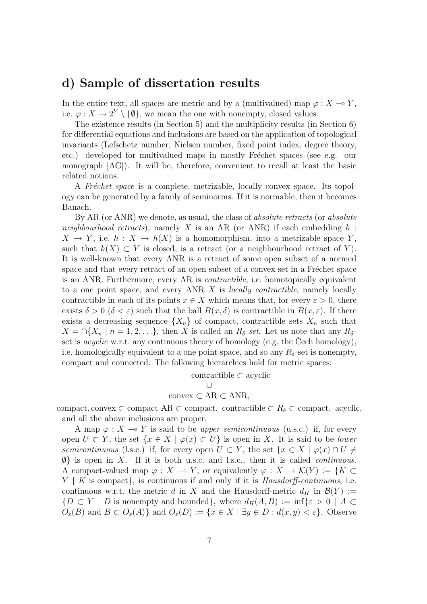### d) Sample of dissertation results

In the entire text, all spaces are metric and by a (multivalued) map  $\varphi: X \to Y$ , i.e.  $\varphi: X \to 2^Y \setminus \{\emptyset\}$ , we mean the one with nonempty, closed values.

The existence results (in Section 5) and the multiplicity results (in Section 6) for differential equations and inclusions are based on the application of topological invariants (Lefschetz number, Nielsen number, fixed point index, degree theory, etc.) developed for multivalued maps in mostly Fréchet spaces (see e.g. our monograph [AG]). It will be, therefore, convenient to recall at least the basic related notions.

A Fréchet space is a complete, metrizable, locally convex space. Its topology can be generated by a family of seminorms. If it is normable, then it becomes Banach.

By AR (or ANR) we denote, as usual, the class of absolute retracts (or absolute neighbourhood retracts), namely X is an AR (or ANR) if each embedding h:  $X \to Y$ , i.e.  $h: X \to h(X)$  is a homomorphism, into a metrizable space Y, such that  $h(X) \subset Y$  is closed, is a retract (or a neighbourhood retract of Y). It is well-known that every ANR is a retract of some open subset of a normed space and that every retract of an open subset of a convex set in a Fréchet space is an ANR. Furthermore, every AR is contractible, i.e. homotopically equivalent to a one point space, and every ANR X is locally contractible, namely locally contractible in each of its points  $x \in X$  which means that, for every  $\varepsilon > 0$ , there exists  $\delta > 0$  ( $\delta < \varepsilon$ ) such that the ball  $B(x,\delta)$  is contractible in  $B(x,\varepsilon)$ . If there exists a decreasing sequence  $\{X_n\}$  of compact, contractible sets  $X_n$  such that  $X = \bigcap \{X_n \mid n = 1, 2, \ldots\},\$  then X is called an  $R_\delta$ -set. Let us note that any  $R_\delta$ set is  $acyclic$  w.r.t. any continuous theory of homology (e.g. the Cech homology), i.e. homologically equivalent to a one point space, and so any  $R_{\delta}$ -set is nonempty, compact and connected. The following hierarchies hold for metric spaces:

contractible ⊂ acyclic

∪

#### convex  $\subset$  AR  $\subset$  ANR,

compact, convex  $\subset$  compact AR  $\subset$  compact, contractible  $\subset R_\delta \subset$  compact, acyclic, and all the above inclusions are proper.

A map  $\varphi: X \to Y$  is said to be *upper semicontinuous* (u.s.c.) if, for every open  $U \subset Y$ , the set  $\{x \in X \mid \varphi(x) \subset U\}$  is open in X. It is said to be *lower* semicontinuous (l.s.c.) if, for every open  $U \subset Y$ , the set  $\{x \in X \mid \varphi(x) \cap U \neq \emptyset\}$  $\emptyset$  is open in X. If it is both u.s.c. and l.s.c., then it is called *continuous*. A compact-valued map  $\varphi : X \to Y$ , or equivalently  $\varphi : X \to \mathcal{K}(Y) := \{K \subset Y\}$  $Y \mid K$  is compact, is continuous if and only if it is *Hausdorff-continuous*, i.e. continuous w.r.t. the metric d in X and the Hausdorff-metric  $d_H$  in  $\mathcal{B}(Y) :=$  $\{D \subset Y \mid D \text{ is nonempty and bounded}\},\$  where  $d_H(A, B) := \inf\{\varepsilon > 0 \mid A \subset$  $O_{\varepsilon}(B)$  and  $B \subset O_{\varepsilon}(A)$  and  $O_{\varepsilon}(D) := \{x \in X \mid \exists y \in D : d(x, y) < \varepsilon\}.$  Observe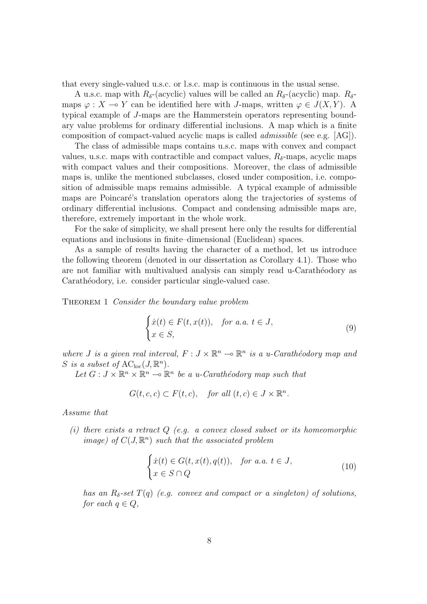that every single-valued u.s.c. or l.s.c. map is continuous in the usual sense.

A u.s.c. map with  $R_{\delta}$ -(acyclic) values will be called an  $R_{\delta}$ -(acyclic) map.  $R_{\delta}$ maps  $\varphi: X \to Y$  can be identified here with J-maps, written  $\varphi \in J(X,Y)$ . A typical example of J-maps are the Hammerstein operators representing boundary value problems for ordinary differential inclusions. A map which is a finite composition of compact-valued acyclic maps is called admissible (see e.g. [AG]).

The class of admissible maps contains u.s.c. maps with convex and compact values, u.s.c. maps with contractible and compact values,  $R_{\delta}$ -maps, acyclic maps with compact values and their compositions. Moreover, the class of admissible maps is, unlike the mentioned subclasses, closed under composition, i.e. composition of admissible maps remains admissible. A typical example of admissible maps are Poincaré's translation operators along the trajectories of systems of ordinary differential inclusions. Compact and condensing admissible maps are, therefore, extremely important in the whole work.

For the sake of simplicity, we shall present here only the results for differential equations and inclusions in finite–dimensional (Euclidean) spaces.

As a sample of results having the character of a method, let us introduce the following theorem (denoted in our dissertation as Corollary 4.1). Those who are not familiar with multivalued analysis can simply read u-Carathéodory as Carathéodory, i.e. consider particular single-valued case.

THEOREM 1 Consider the boundary value problem

$$
\begin{cases}\n\dot{x}(t) \in F(t, x(t)), & \text{for a.a. } t \in J, \\
x \in S,\n\end{cases} \tag{9}
$$

where *J* is a given real interval,  $F: J \times \mathbb{R}^n \to \mathbb{R}^n$  is a u-Carathéodory map and S is a subset of  $\mathrm{AC}_{\mathrm{loc}}(J, \mathbb{R}^n)$ .

Let  $G: J \times \mathbb{R}^n \times \mathbb{R}^n \to \mathbb{R}^n$  be a u-Carathéodory map such that

$$
G(t, c, c) \subset F(t, c), \quad \text{for all } (t, c) \in J \times \mathbb{R}^n.
$$

Assume that

(i) there exists a retract  $Q$  (e.g. a convex closed subset or its homeomorphic image) of  $C(J, \mathbb{R}^n)$  such that the associated problem

$$
\begin{cases}\n\dot{x}(t) \in G(t, x(t), q(t)), & \text{for a.a. } t \in J, \\
x \in S \cap Q\n\end{cases}
$$
\n(10)

has an  $R_{\delta}$ -set  $T(q)$  (e.g. convex and compact or a singleton) of solutions, for each  $q \in Q$ ,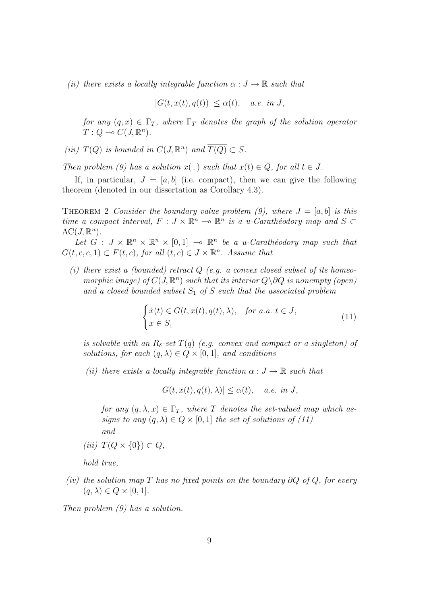(ii) there exists a locally integrable function  $\alpha : J \to \mathbb{R}$  such that

$$
|G(t, x(t), q(t))| \le \alpha(t), \quad a.e. \in J,
$$

for any  $(q, x) \in \Gamma_T$ , where  $\Gamma_T$  denotes the graph of the solution operator  $T: Q \multimap C(J, \mathbb{R}^n).$ 

(iii)  $T(Q)$  is bounded in  $C(J, \mathbb{R}^n)$  and  $\overline{T(Q)} \subset S$ .

Then problem (9) has a solution  $x(.)$  such that  $x(t) \in \overline{Q}$ , for all  $t \in J$ .

If, in particular,  $J = [a, b]$  (i.e. compact), then we can give the following theorem (denoted in our dissertation as Corollary 4.3).

THEOREM 2 Consider the boundary value problem (9), where  $J = [a, b]$  is this time a compact interval,  $F: J \times \mathbb{R}^n \to \mathbb{R}^n$  is a u-Carathéodory map and  $S \subset$  $\mathrm{AC}(J, \mathbb{R}^n)$ .

Let  $G: J \times \mathbb{R}^n \times \mathbb{R}^n \times [0,1] \to \mathbb{R}^n$  be a u-Carathéodory map such that  $G(t, c, c, 1) \subset F(t, c)$ , for all  $(t, c) \in J \times \mathbb{R}^n$ . Assume that

(i) there exist a (bounded) retract  $Q$  (e.g. a convex closed subset of its homeomorphic image) of  $C(J, \mathbb{R}^n)$  such that its interior  $Q \setminus \partial Q$  is nonempty (open) and a closed bounded subset  $S_1$  of S such that the associated problem

$$
\begin{cases}\n\dot{x}(t) \in G(t, x(t), q(t), \lambda), & \text{for a.a. } t \in J, \\
x \in S_1\n\end{cases}
$$
\n(11)

is solvable with an  $R_{\delta}$ -set  $T(q)$  (e.g. convex and compact or a singleton) of solutions, for each  $(q, \lambda) \in Q \times [0, 1]$ , and conditions

(ii) there exists a locally integrable function  $\alpha : J \to \mathbb{R}$  such that

 $|G(t, x(t), a(t), \lambda)| \leq \alpha(t), \quad a.e. \in J,$ 

for any  $(q, \lambda, x) \in \Gamma_T$ , where T denotes the set-valued map which assigns to any  $(q, \lambda) \in Q \times [0, 1]$  the set of solutions of (11) and

(iii)  $T(Q \times \{0\}) \subset Q$ ,

hold true,

(iv) the solution map T has no fixed points on the boundary  $\partial Q$  of Q, for every  $(q, \lambda) \in Q \times [0, 1].$ 

Then problem (9) has a solution.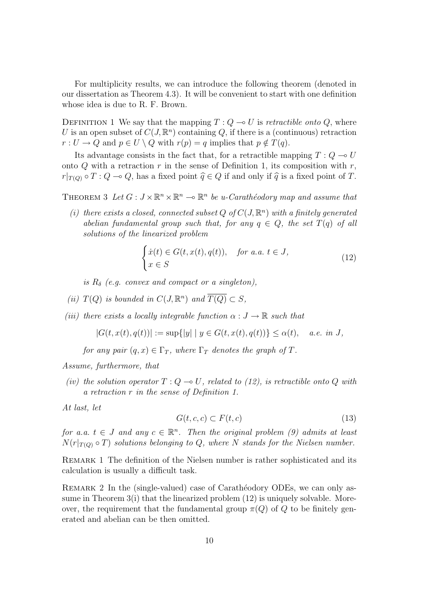For multiplicity results, we can introduce the following theorem (denoted in our dissertation as Theorem 4.3). It will be convenient to start with one definition whose idea is due to R. F. Brown.

DEFINITION 1 We say that the mapping  $T: Q \to U$  is *retractible onto Q*, where U is an open subset of  $C(J, \mathbb{R}^n)$  containing Q, if there is a (continuous) retraction  $r: U \to Q$  and  $p \in U \setminus Q$  with  $r(p) = q$  implies that  $p \notin T(q)$ .

Its advantage consists in the fact that, for a retractible mapping  $T: Q \to U$ onto Q with a retraction r in the sense of Definition 1, its composition with  $r$ ,  $r|_{T(Q)} \circ T : Q \to Q$ , has a fixed point  $\hat{q} \in Q$  if and only if  $\hat{q}$  is a fixed point of T.

THEOREM 3 Let  $G: J \times \mathbb{R}^n \times \mathbb{R}^n \to \mathbb{R}^n$  be u-Carathéodory map and assume that

(i) there exists a closed, connected subset  $Q$  of  $C(J, \mathbb{R}^n)$  with a finitely generated abelian fundamental group such that, for any  $q \in Q$ , the set  $T(q)$  of all solutions of the linearized problem

$$
\begin{cases}\n\dot{x}(t) \in G(t, x(t), q(t)), & \text{for a.a. } t \in J, \\
x \in S\n\end{cases}
$$
\n(12)

is  $R_{\delta}$  (e.g. convex and compact or a singleton),

- (ii)  $T(Q)$  is bounded in  $C(J, \mathbb{R}^n)$  and  $\overline{T(Q)} \subset S$ ,
- (iii) there exists a locally integrable function  $\alpha : J \to \mathbb{R}$  such that

$$
|G(t, x(t), q(t))| := \sup\{|y| \mid y \in G(t, x(t), q(t))\} \le \alpha(t), \quad a.e. \text{ in } J,
$$

for any pair  $(q, x) \in \Gamma_T$ , where  $\Gamma_T$  denotes the graph of T.

Assume, furthermore, that

(iv) the solution operator  $T: Q \to U$ , related to (12), is retractible onto Q with a retraction r in the sense of Definition 1.

At last, let

$$
G(t, c, c) \subset F(t, c) \tag{13}
$$

for a.a.  $t \in J$  and any  $c \in \mathbb{R}^n$ . Then the original problem (9) admits at least  $N(r|_{T(Q)} \circ T)$  solutions belonging to Q, where N stands for the Nielsen number.

Remark 1 The definition of the Nielsen number is rather sophisticated and its calculation is usually a difficult task.

REMARK 2 In the (single-valued) case of Carathéodory ODEs, we can only assume in Theorem  $3(i)$  that the linearized problem  $(12)$  is uniquely solvable. Moreover, the requirement that the fundamental group  $\pi(Q)$  of Q to be finitely generated and abelian can be then omitted.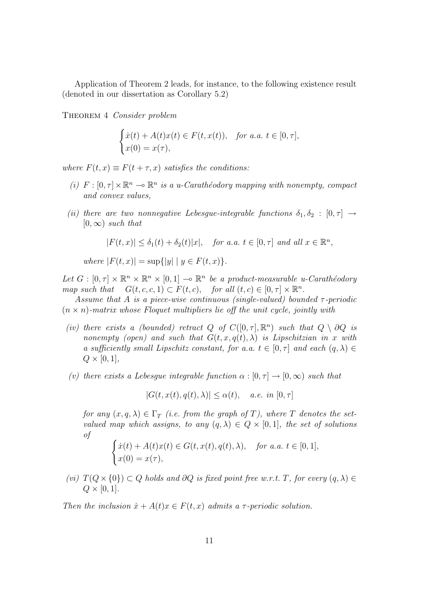Application of Theorem 2 leads, for instance, to the following existence result (denoted in our dissertation as Corollary 5.2)

THEOREM 4 Consider problem

$$
\begin{cases}\n\dot{x}(t) + A(t)x(t) \in F(t, x(t)), & \text{for a.a. } t \in [0, \tau], \\
x(0) = x(\tau),\n\end{cases}
$$

where  $F(t, x) \equiv F(t + \tau, x)$  satisfies the conditions:

- (i)  $F: [0, \tau] \times \mathbb{R}^n \to \mathbb{R}^n$  is a u-Carathéodory mapping with nonempty, compact and convex values,
- (ii) there are two nonnegative Lebesgue-integrable functions  $\delta_1, \delta_2 : [0, \tau] \rightarrow$  $[0,\infty)$  such that

$$
|F(t,x)| \leq \delta_1(t) + \delta_2(t)|x|, \quad \text{for a.a. } t \in [0, \tau] \text{ and all } x \in \mathbb{R}^n,
$$

where  $|F(t, x)| = \sup\{|y| \mid y \in F(t, x)\}.$ 

Let  $G : [0, \tau] \times \mathbb{R}^n \times \mathbb{R}^n \times [0, 1] \to \mathbb{R}^n$  be a product-measurable u-Carathéodory map such that  $G(t, c, c, 1) \subset F(t, c)$ , for all  $(t, c) \in [0, \tau] \times \mathbb{R}^n$ .

Assume that A is a piece-wise continuous (single-valued) bounded  $\tau$ -periodic  $(n \times n)$ -matrix whose Floquet multipliers lie off the unit cycle, jointly with

- (iv) there exists a (bounded) retract Q of  $C([0, \tau], \mathbb{R}^n)$  such that  $Q \setminus \partial Q$  is nonempty (open) and such that  $G(t, x, q(t), \lambda)$  is Lipschitzian in x with a sufficiently small Lipschitz constant, for a.a.  $t \in [0, \tau]$  and each  $(q, \lambda) \in$  $Q \times [0,1],$
- (v) there exists a Lebesque integrable function  $\alpha : [0, \tau] \to [0, \infty)$  such that

$$
|G(t, x(t), q(t), \lambda)| \leq \alpha(t), \quad a.e. \text{ in } [0, \tau]
$$

for any  $(x, q, \lambda) \in \Gamma_T$  (i.e. from the graph of T), where T denotes the setvalued map which assigns, to any  $(q, \lambda) \in Q \times [0, 1]$ , the set of solutions of

$$
\begin{cases}\n\dot{x}(t) + A(t)x(t) \in G(t, x(t), q(t), \lambda), & \text{for a.a. } t \in [0, 1], \\
x(0) = x(\tau), & \text{otherwise.}\n\end{cases}
$$

(vi)  $T(Q \times \{0\}) \subset Q$  holds and  $\partial Q$  is fixed point free w.r.t. T, for every  $(q, \lambda) \in$  $Q \times [0, 1]$ .

Then the inclusion  $\dot{x} + A(t)x \in F(t, x)$  admits a  $\tau$ -periodic solution.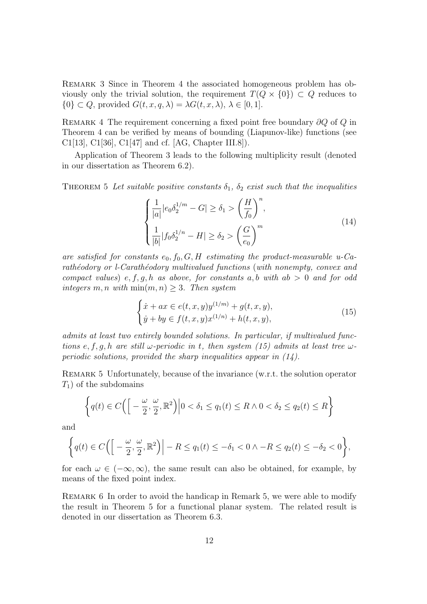Remark 3 Since in Theorem 4 the associated homogeneous problem has obviously only the trivial solution, the requirement  $T(Q \times \{0\}) \subset Q$  reduces to  $\{0\} \subset Q$ , provided  $G(t, x, q, \lambda) = \lambda G(t, x, \lambda), \lambda \in [0, 1].$ 

Remark 4 The requirement concerning a fixed point free boundary ∂Q of Q in Theorem 4 can be verified by means of bounding (Liapunov-like) functions (see C1[13], C1[36], C1[47] and cf. [AG, Chapter III.8]).

Application of Theorem 3 leads to the following multiplicity result (denoted in our dissertation as Theorem 6.2).

THEOREM 5 Let suitable positive constants  $\delta_1$ ,  $\delta_2$  exist such that the inequalities

$$
\begin{cases} \frac{1}{|a|} |e_0 \delta_2^{1/m} - G| \ge \delta_1 > \left(\frac{H}{f_0}\right)^n, \\ \frac{1}{|b|} |f_0 \delta_2^{1/n} - H| \ge \delta_2 > \left(\frac{G}{e_0}\right)^m \end{cases}
$$
(14)

are satisfied for constants  $e_0, f_0, G, H$  estimating the product-measurable u-Carathéodory or l-Carathéodory multivalued functions (with nonempty, convex and compact values)  $e, f, g, h$  as above, for constants a, b with ab  $> 0$  and for odd integers  $m, n$  with  $\min(m, n) \geq 3$ . Then system

$$
\begin{cases}\n\dot{x} + ax \in e(t, x, y)y^{(1/m)} + g(t, x, y), \\
\dot{y} + by \in f(t, x, y)x^{(1/n)} + h(t, x, y),\n\end{cases}
$$
\n(15)

admits at least two entirely bounded solutions. In particular, if multivalued functions e, f, g, h are still  $\omega$ -periodic in t, then system (15) admits at least tree  $\omega$ periodic solutions, provided the sharp inequalities appear in  $(14)$ .

Remark 5 Unfortunately, because of the invariance (w.r.t. the solution operator  $T_1$ ) of the subdomains

$$
\left\{ q(t) \in C\Big(\Big[-\frac{\omega}{2}, \frac{\omega}{2}, \mathbb{R}^2\Big)\Big|0 < \delta_1 \le q_1(t) \le R \land 0 < \delta_2 \le q_2(t) \le R \right\}
$$

and

$$
\left\{ q(t) \in C \Big( \Big[ -\frac{\omega}{2}, \frac{\omega}{2}, \mathbb{R}^2 \Big) \Big| -R \le q_1(t) \le -\delta_1 < 0 \land -R \le q_2(t) \le -\delta_2 < 0 \right\},\
$$

for each  $\omega \in (-\infty, \infty)$ , the same result can also be obtained, for example, by means of the fixed point index.

Remark 6 In order to avoid the handicap in Remark 5, we were able to modify the result in Theorem 5 for a functional planar system. The related result is denoted in our dissertation as Theorem 6.3.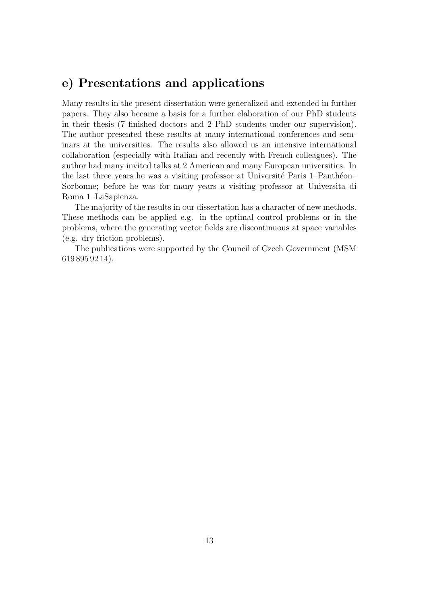## e) Presentations and applications

Many results in the present dissertation were generalized and extended in further papers. They also became a basis for a further elaboration of our PhD students in their thesis (7 finished doctors and 2 PhD students under our supervision). The author presented these results at many international conferences and seminars at the universities. The results also allowed us an intensive international collaboration (especially with Italian and recently with French colleagues). The author had many invited talks at 2 American and many European universities. In the last three years he was a visiting professor at Université Paris 1–Panthéon– Sorbonne; before he was for many years a visiting professor at Universita di Roma 1–LaSapienza.

The majority of the results in our dissertation has a character of new methods. These methods can be applied e.g. in the optimal control problems or in the problems, where the generating vector fields are discontinuous at space variables (e.g. dry friction problems).

The publications were supported by the Council of Czech Government (MSM 619 895 92 14).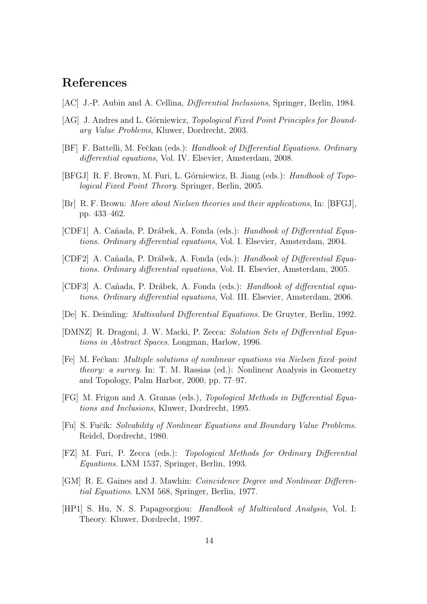### References

- [AC] J.-P. Aubin and A. Cellina, *Differential Inclusions*, Springer, Berlin, 1984.
- [AG] J. Andres and L. Górniewicz, *Topological Fixed Point Principles for Bound*ary Value Problems, Kluwer, Dordrecht, 2003.
- [BF] F. Battelli, M. Fečkan (eds.): Handbook of Differential Equations. Ordinary differential equations, Vol. IV. Elsevier, Amsterdam, 2008.
- [BFGJ] R. F. Brown, M. Furi, L. Górniewicz, B. Jiang (eds.): *Handbook of Topo*logical Fixed Point Theory. Springer, Berlin, 2005.
- [Br] R. F. Brown: More about Nielsen theories and their applications, In: [BFGJ], pp. 433–462.
- [CDF1] A. Cañada, P. Drábek, A. Fonda (eds.): Handbook of Differential Equations. Ordinary differential equations, Vol. I. Elsevier, Amsterdam, 2004.
- [CDF2] A. Cañada, P. Drábek, A. Fonda (eds.): Handbook of Differential Equations. Ordinary differential equations, Vol. II. Elsevier, Amsterdam, 2005.
- [CDF3] A. Ca˜nada, P. Dr´abek, A. Fonda (eds.): Handbook of differential equations. Ordinary differential equations, Vol. III. Elsevier, Amsterdam, 2006.
- [De] K. Deimling: Multivalued Differential Equations. De Gruyter, Berlin, 1992.
- [DMNZ] R. Dragoni, J. W. Macki, P. Zecca: Solution Sets of Differential Equations in Abstract Spaces. Longman, Harlow, 1996.
- [Fe] M. Feˇckan: Multiple solutions of nonlinear equations via Nielsen fixed–point theory: a survey. In: T. M. Rassias (ed.): Nonlinear Analysis in Geometry and Topology, Palm Harbor, 2000, pp. 77–97.
- [FG] M. Frigon and A. Granas (eds.), Topological Methods in Differential Equations and Inclusions, Kluwer, Dordrecht, 1995.
- [Fu] S. Fuˇc´ık: Solvability of Nonlinear Equations and Boundary Value Problems. Reidel, Dordrecht, 1980.
- [FZ] M. Furi, P. Zecca (eds.): Topological Methods for Ordinary Differential Equations. LNM 1537, Springer, Berlin, 1993.
- [GM] R. E. Gaines and J. Mawhin: Coincidence Degree and Nonlinear Differential Equations. LNM 568, Springer, Berlin, 1977.
- [HP1] S. Hu, N. S. Papageorgiou: Handbook of Multivalued Analysis, Vol. I: Theory. Kluwer, Dordrecht, 1997.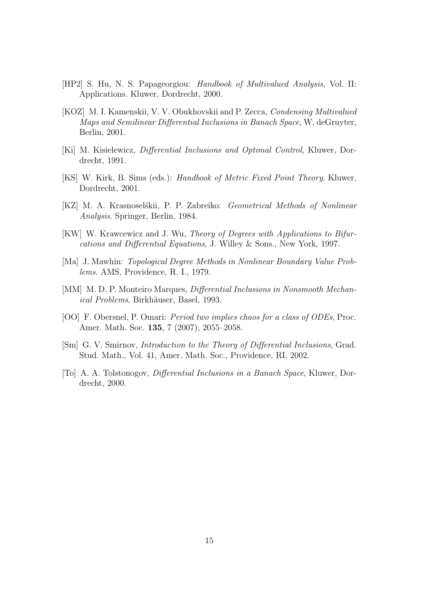- [HP2] S. Hu, N. S. Papageorgiou: Handbook of Multivalued Analysis, Vol. II: Applications. Kluwer, Dordrecht, 2000.
- [KOZ] M. I. Kamenskii, V. V. Obukhovskii and P. Zecca, Condensing Multivalued Maps and Semilinear Differential Inclusions in Banach Space, W. deGruyter, Berlin, 2001.
- [Ki] M. Kisielewicz, Differential Inclusions and Optimal Control, Kluwer, Dordrecht, 1991.
- [KS] W. Kirk, B. Sims (eds.): Handbook of Metric Fixed Point Theory. Kluwer, Dordrecht, 2001.
- [KZ] M. A. Krasnoselskii, P. P. Zabreiko: *Geometrical Methods of Nonlinear* Analysis. Springer, Berlin, 1984.
- [KW] W. Krawcewicz and J. Wu, Theory of Degrees with Applications to Bifurcations and Differential Equations, J. Willey & Sons., New York, 1997.
- [Ma] J. Mawhin: Topological Degree Methods in Nonlinear Boundary Value Problems. AMS, Providence, R. I., 1979.
- [MM] M. D. P. Monteiro Marques, Differential Inclusions in Nonsmooth Mechanical Problems, Birkhäuser, Basel, 1993.
- [OO] F. Obersnel, P. Omari: Period two implies chaos for a class of ODEs, Proc. Amer. Math. Soc. 135, 7 (2007), 2055–2058.
- [Sm] G. V. Smirnov, Introduction to the Theory of Differential Inclusions, Grad. Stud. Math., Vol. 41, Amer. Math. Soc., Providence, RI, 2002.
- [To] A. A. Tolstonogov, Differential Inclusions in a Banach Space, Kluwer, Dordrecht, 2000.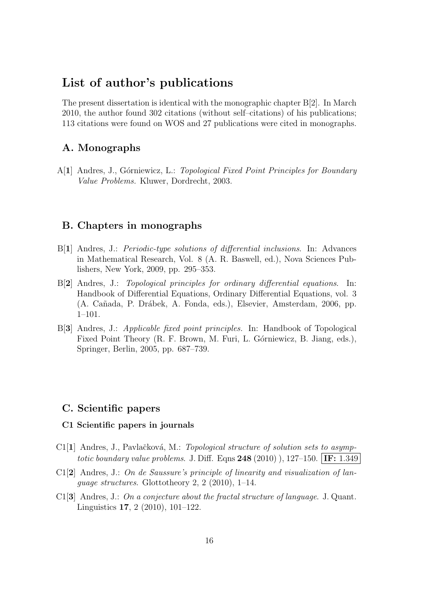### List of author's publications

The present dissertation is identical with the monographic chapter  $B[2]$ . In March 2010, the author found 302 citations (without self–citations) of his publications; 113 citations were found on WOS and 27 publications were cited in monographs.

### A. Monographs

 $A[1]$  Andres, J., Górniewicz, L.: Topological Fixed Point Principles for Boundary Value Problems. Kluwer, Dordrecht, 2003.

### B. Chapters in monographs

- B[1] Andres, J.: Periodic-type solutions of differential inclusions. In: Advances in Mathematical Research, Vol. 8 (A. R. Baswell, ed.), Nova Sciences Publishers, New York, 2009, pp. 295–353.
- B[2] Andres, J.: Topological principles for ordinary differential equations. In: Handbook of Differential Equations, Ordinary Differential Equations, vol. 3 (A. Ca˜nada, P. Dr´abek, A. Fonda, eds.), Elsevier, Amsterdam, 2006, pp. 1–101.
- B[3] Andres, J.: Applicable fixed point principles. In: Handbook of Topological Fixed Point Theory (R. F. Brown, M. Furi, L. Górniewicz, B. Jiang, eds.), Springer, Berlin, 2005, pp. 687–739.

### C. Scientific papers

#### C1 Scientific papers in journals

- $C1[1]$  Andres, J., Pavlačková, M.: Topological structure of solution sets to asymptotic boundary value problems. J. Diff. Eqns  $248 (2010)$ ), 127–150. **IF:** 1.349
- $C1[2]$  Andres, J.: On de Saussure's principle of linearity and visualization of language structures. Glottotheory 2, 2 (2010), 1–14.
- C1[3] Andres, J.: On a conjecture about the fractal structure of language. J. Quant. Linguistics 17, 2 (2010), 101–122.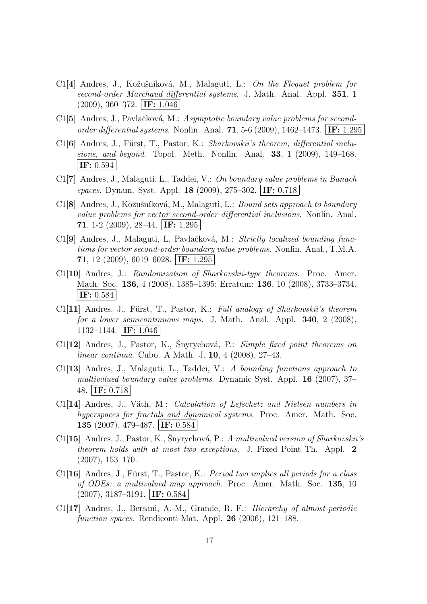- C1[4] Andres, J., Kožušníková, M., Malaguti, L.: On the Floquet problem for second-order Marchaud differential systems. J. Math. Anal. Appl. 351, 1  $(2009), 360-372. | \text{IF: } 1.046$
- C1[5] Andres, J., Pavlačková, M.: Asymptotic boundary value problems for secondorder differential systems. Nonlin. Anal. **71**, 5-6 (2009), 1462–1473. **IF:** 1.295
- $C1[6]$  Andres, J., Fürst, T., Pastor, K.: Sharkovskii's theorem, differential inclusions, and beyond. Topol. Meth. Nonlin. Anal.  $33$ , 1 (2009), 149–168. IF: 0.594
- C1[7] Andres, J., Malaguti, L., Taddei, V.: On boundary value problems in Banach spaces. Dynam. Syst. Appl. 18 (2009), 275–302. IF: 0.718
- C1[8] Andres, J., Kožušníková, M., Malaguti, L.: Bound sets approach to boundary value problems for vector second-order differential inclusions. Nonlin. Anal. **71**, 1-2 (2009), 28–44. **IF:** 1.295
- C1<sup>[9]</sup> Andres, J., Malaguti, L., Pavlačková, M.: *Strictly localized bounding func*tions for vector second-order boundary value problems. Nonlin. Anal., T.M.A. 71, 12 (2009), 6019–6028. IF: 1.295
- C1[10] Andres, J.: Randomization of Sharkovskii-type theorems. Proc. Amer. Math. Soc. 136, 4 (2008), 1385–1395; Erratum: 136, 10 (2008), 3733–3734.  $|\text{IF: } 0.584|$
- $C1[11]$  Andres, J., Fürst, T., Pastor, K.: Full analogy of Sharkovskii's theorem for a lower semicontinuous maps. J. Math. Anal. Appl. **340**, 2 (2008), 1132–1144. IF: 1.046
- $C1[12]$  Andres, J., Pastor, K., Snyrychová, P.: *Simple fixed point theorems on* linear continua. Cubo. A Math. J. 10, 4 (2008), 27–43.
- C1[13] Andres, J., Malaguti, L., Taddei, V.: A bounding functions approach to multivalued boundary value problems. Dynamic Syst. Appl. 16 (2007), 37– 48. IF: 0.718
- $C1[14]$  Andres, J., Väth, M.: *Calculation of Lefschetz and Nielsen numbers in* hyperspaces for fractals and dynamical systems. Proc. Amer. Math. Soc. 135 (2007), 479–487. IF: 0.584
- C1[15] Andres, J., Pastor, K., Šnyrychová, P.: A multivalued version of Sharkovskii's theorem holds with at most two exceptions. J. Fixed Point Th. Appl. 2 (2007), 153–170.
- C1[16] Andres, J., Fürst, T., Pastor, K.: *Period two implies all periods for a class* of ODEs: a multivalued map approach. Proc. Amer. Math. Soc. 135, 10  $(2007), 3187-3191. | \text{IF: } 0.584$
- C1[17] Andres, J., Bersani, A.-M., Grande, R. F.: Hierarchy of almost-periodic function spaces. Rendiconti Mat. Appl. 26 (2006), 121–188.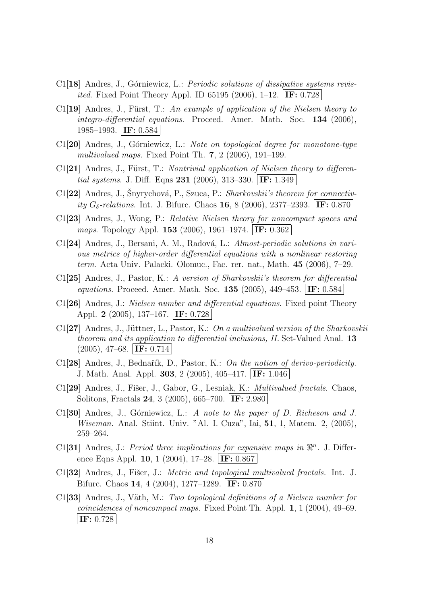- $C1[18]$  Andres, J., Górniewicz, L.: *Periodic solutions of dissipative systems revisited.* Fixed Point Theory Appl. ID 65195 (2006),  $1-12$ . **IF:** 0.728
- C1[19] Andres, J., Fürst, T.: An example of application of the Nielsen theory to integro-differential equations. Proceed. Amer. Math. Soc. 134 (2006), 1985–1993. IF: 0.584
- $C1[20]$  Andres, J., Górniewicz, L.: Note on topological degree for monotone-type multivalued maps. Fixed Point Th. 7, 2 (2006), 191–199.
- C1[21] Andres, J., Fürst, T.: Nontrivial application of Nielsen theory to differential systems. J. Diff. Eqns  $231$  (2006), 313–330. **IF:** 1.349
- $C1[22]$  Andres, J., Šnyrychová, P., Szuca, P.: Sharkovskii's theorem for connectivity  $G_{\delta}$ -relations. Int. J. Bifurc. Chaos 16, 8 (2006), 2377–2393. **IF:** 0.870
- C1[23] Andres, J., Wong, P.: Relative Nielsen theory for noncompact spaces and maps. Topology Appl. **153** (2006), 1961–1974. **IF:** 0.362
- C1[24] Andres, J., Bersani, A. M., Radová, L.: Almost-periodic solutions in various metrics of higher-order differential equations with a nonlinear restoring term. Acta Univ. Palacki. Olomuc., Fac. rer. nat., Math. 45 (2006), 7–29.
- C1[25] Andres, J., Pastor, K.: A version of Sharkovskii's theorem for differential *equations.* Proceed. Amer. Math. Soc. **135** (2005), 449–453. **IF:** 0.584
- C1[26] Andres, J.: Nielsen number and differential equations. Fixed point Theory Appl. 2 (2005), 137–167. IF: 0.728
- C1[27] Andres, J., Jüttner, L., Pastor, K.: On a multivalued version of the Sharkovskii theorem and its application to differential inclusions, II. Set-Valued Anal. 13  $(2005), 47-68. | \text{IF: } 0.714 |$
- C1 $[28]$  Andres, J., Bednařík, D., Pastor, K.: On the notion of derivo-periodicity. J. Math. Anal. Appl. 303, 2 (2005), 405–417. IF: 1.046
- C1<sup>[29]</sup> Andres, J., Fišer, J., Gabor, G., Lesniak, K.: *Multivalued fractals*. Chaos, Solitons, Fractals 24, 3 (2005), 665–700. IF: 2.980
- $C1[30]$  Andres, J., Górniewicz, L.: A note to the paper of D. Richeson and J. Wiseman. Anal. Stiint. Univ. "Al. I. Cuza", Iai, 51, 1, Matem. 2, (2005), 259–264.
- C1[31] Andres, J.: Period three implications for expansive maps in  $\mathbb{R}^n$ . J. Difference Eqns Appl. 10, 1 (2004), 17–28. **IF:** 0.867
- C1[32] Andres, J., Fišer, J.: Metric and topological multivalued fractals. Int. J. Bifurc. Chaos 14, 4 (2004), 1277-1289. **IF:** 0.870
- C1[33] Andres, J., Väth, M.: Two topological definitions of a Nielsen number for coincidences of noncompact maps. Fixed Point Th. Appl. 1, 1 (2004), 49–69. IF: 0.728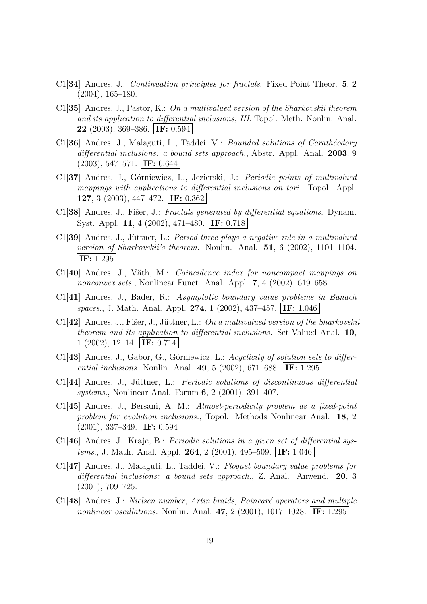- C1[34] Andres, J.: Continuation principles for fractals. Fixed Point Theor. 5, 2 (2004), 165–180.
- C1[35] Andres, J., Pastor, K.: On a multivalued version of the Sharkovskii theorem and its application to differential inclusions, III. Topol. Meth. Nonlin. Anal. 22 (2003), 369–386. IF: 0.594
- C1<sup>[</sup>36] Andres, J., Malaguti, L., Taddei, V.: *Bounded solutions of Carathéodory* differential inclusions: a bound sets approach., Abstr. Appl. Anal. **2003**, 9  $(2003), 547-571. | \text{IF: } 0.644$
- C1[37] Andres, J., Górniewicz, L., Jezierski, J.: Periodic points of multivalued mappings with applications to differential inclusions on tori., Topol. Appl. 127, 3 (2003), 447–472. IF: 0.362
- C1[38] Andres, J., Fišer, J.: Fractals generated by differential equations. Dynam. Syst. Appl. 11, 4 (2002), 471–480. IF: 0.718
- C1[39] Andres, J., Jüttner, L.: Period three plays a negative role in a multivalued version of Sharkovskii's theorem. Nonlin. Anal. 51, 6 (2002), 1101–1104.  $|IF: 1.295|$
- $C1[40]$  Andres, J., Väth, M.: *Coincidence index for noncompact mappings on* nonconvex sets., Nonlinear Funct. Anal. Appl. 7, 4 (2002), 619–658.
- C1[41] Andres, J., Bader, R.: Asymptotic boundary value problems in Banach spaces., J. Math. Anal. Appl. 274, 1 (2002), 437–457. **IF:** 1.046
- C1[42] Andres, J., Fišer, J., Jüttner, L.: On a multivalued version of the Sharkovskii theorem and its application to differential inclusions. Set-Valued Anal. 10, 1 (2002), 12–14. **IF:** 0.714
- $C1[43]$  Andres, J., Gabor, G., Górniewicz, L.: Acyclicity of solution sets to differential inclusions. Nonlin. Anal. 49, 5 (2002), 671–688. **IF:** 1.295
- C1<sup>[44]</sup> Andres, J., Jüttner, L.: *Periodic solutions of discontinuous differential* systems., Nonlinear Anal. Forum 6, 2 (2001), 391–407.
- C1[45] Andres, J., Bersani, A. M.: Almost-periodicity problem as a fixed-point problem for evolution inclusions., Topol. Methods Nonlinear Anal. 18, 2  $(2001), 337-349. | \text{IF: } 0.594$
- C1[46] Andres, J., Krajc, B.: Periodic solutions in a given set of differential systems., J. Math. Anal. Appl. 264, 2 (2001), 495–509. IF: 1.046
- C1[47] Andres, J., Malaguti, L., Taddei, V.: Floquet boundary value problems for differential inclusions: a bound sets approach., Z. Anal. Anwend. 20, 3 (2001), 709–725.
- $C1[48]$  Andres, J.: Nielsen number, Artin braids, Poincaré operators and multiple nonlinear oscillations. Nonlin. Anal. 47, 2 (2001), 1017–1028. **IF:** 1.295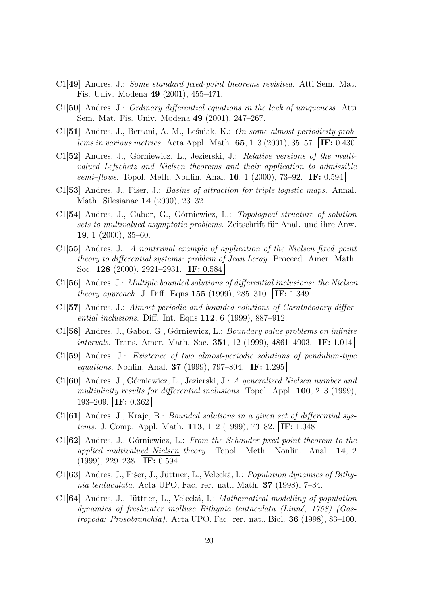- C1[49] Andres, J.: Some standard fixed-point theorems revisited. Atti Sem. Mat. Fis. Univ. Modena 49 (2001), 455–471.
- C1[50] Andres, J.: Ordinary differential equations in the lack of uniqueness. Atti Sem. Mat. Fis. Univ. Modena 49 (2001), 247–267.
- $C1[51]$  Andres, J., Bersani, A. M., Lesniak, K.: On some almost-periodicity prob*lems in various metrics.* Acta Appl. Math.  $65, 1\negthinspace\negthinspace-3 (2001), 35\negthinspace\negthinspace-57. | \text{IF: } 0.430$
- C1[52] Andres, J., Górniewicz, L., Jezierski, J.: Relative versions of the multivalued Lefschetz and Nielsen theorems and their application to admissible semi–flows. Topol. Meth. Nonlin. Anal. 16, 1 (2000), 73–92. **IF:** 0.594
- C1[53] Andres, J., Fišer, J.: Basins of attraction for triple logistic maps. Annal. Math. Silesianae 14 (2000), 23–32.
- C1<sup>[54]</sup> Andres, J., Gabor, G., Górniewicz, L.: *Topological structure of solution* sets to multivalued asymptotic problems. Zeitschrift für Anal. und ihre Anw. 19, 1 (2000), 35–60.
- C1[55] Andres, J.: A nontrivial example of application of the Nielsen fixed–point theory to differential systems: problem of Jean Leray. Proceed. Amer. Math. Soc. 128 (2000), 2921–2931. **IF:** 0.584
- C1[56] Andres, J.: Multiple bounded solutions of differential inclusions: the Nielsen *theory approach.* J. Diff. Eqns  $155$  (1999), 285–310. **IF:** 1.349
- C1[57] Andres, J.: Almost-periodic and bounded solutions of Carathéodory differ*ential inclusions.* Diff. Int. Eqns  $112, 6$  (1999), 887–912.
- C1<sup>[58]</sup> Andres, J., Gabor, G., Górniewicz, L.: *Boundary value problems on infinite* intervals. Trans. Amer. Math. Soc. 351, 12 (1999), 4861–4903. **IF:** 1.014
- C1[59] Andres, J.: Existence of two almost-periodic solutions of pendulum-type *equations.* Nonlin. Anal. **37** (1999), 797–804. **IF:** 1.295
- C1[60] Andres, J., Górniewicz, L., Jezierski, J.: A generalized Nielsen number and multiplicity results for differential inclusions. Topol. Appl. **100**, 2–3 (1999), 193–209. IF: 0.362
- C1[61] Andres, J., Krajc, B.: Bounded solutions in a given set of differential systems. J. Comp. Appl. Math. 113, 1–2 (1999), 73–82. IF: 1.048
- $C1[62]$  Andres, J., Górniewicz, L.: From the Schauder fixed-point theorem to the applied multivalued Nielsen theory. Topol. Meth. Nonlin. Anal. 14, 2  $(1999), 229-238. | \text{IF: } 0.594$
- C1 $[63]$  Andres, J., Fišer, J., Jüttner, L., Velecká, I.: Population dynamics of Bithynia tentaculata. Acta UPO, Fac. rer. nat., Math. 37 (1998), 7–34.
- C1[64] Andres, J., Jüttner, L., Velecká, I.: Mathematical modelling of population dynamics of freshwater mollusc Bithynia tentaculata (Linné, 1758) (Gastropoda: Prosobranchia). Acta UPO, Fac. rer. nat., Biol. 36 (1998), 83–100.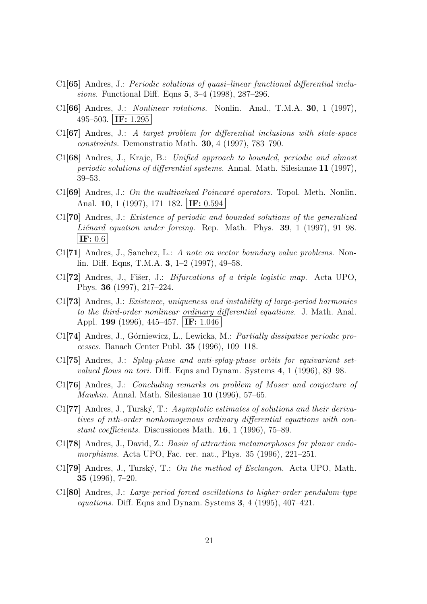- C1[65] Andres, J.: Periodic solutions of quasi–linear functional differential inclusions. Functional Diff. Eqns 5, 3–4 (1998), 287–296.
- C1 $[66]$  Andres, J.: *Nonlinear rotations.* Nonlin. Anal., T.M.A. 30, 1 (1997), 495–503. IF: 1.295
- $C1[67]$  Andres, J.: A target problem for differential inclusions with state-space constraints. Demonstratio Math. 30, 4 (1997), 783–790.
- C1[68] Andres, J., Krajc, B.: Unified approach to bounded, periodic and almost periodic solutions of differential systems. Annal. Math. Silesianae 11 (1997), 39–53.
- C1 $[69]$  Andres, J.: On the multivalued Poincaré operators. Topol. Meth. Nonlin. Anal. **10**, 1 (1997), 171–182. **IF:** 0.594
- C1[70] Andres, J.: Existence of periodic and bounded solutions of the generalized Liénard equation under forcing. Rep. Math. Phys.  $39, 1$  (1997), 91–98.  $|\text{IF: } 0.6|$
- C1[71] Andres, J., Sanchez, L.: A note on vector boundary value problems. Nonlin. Diff. Eqns, T.M.A. 3, 1–2 (1997), 49–58.
- C1[72] Andres, J., Fišer, J.: Bifurcations of a triple logistic map. Acta UPO, Phys. 36 (1997), 217–224.
- C1[73] Andres, J.: Existence, uniqueness and instability of large-period harmonics to the third-order nonlinear ordinary differential equations. J. Math. Anal. Appl. 199 (1996), 445–457. **IF:** 1.046
- $C1[74]$  Andres, J., Górniewicz, L., Lewicka, M.: *Partially dissipative periodic pro*cesses. Banach Center Publ. 35 (1996), 109–118.
- C1[75] Andres, J.: Splay-phase and anti-splay-phase orbits for equivariant setvalued flows on tori. Diff. Eqns and Dynam. Systems 4, 1 (1996), 89–98.
- C1[76] Andres, J.: Concluding remarks on problem of Moser and conjecture of Mawhin. Annal. Math. Silesianae 10 (1996), 57–65.
- C1[77] Andres, J., Turský, T.: Asymptotic estimates of solutions and their derivatives of nth-order nonhomogenous ordinary differential equations with constant coefficients. Discussiones Math. 16, 1 (1996), 75–89.
- C1[78] Andres, J., David, Z.: Basin of attraction metamorphoses for planar endomorphisms. Acta UPO, Fac. rer. nat., Phys. 35 (1996), 221–251.
- C1<sup>[79]</sup> Andres, J., Turský, T.: On the method of Esclangon. Acta UPO, Math. 35 (1996), 7–20.
- C1[80] Andres, J.: Large-period forced oscillations to higher-order pendulum-type *equations.* Diff. Eqns and Dynam. Systems  $3, 4$  (1995), 407–421.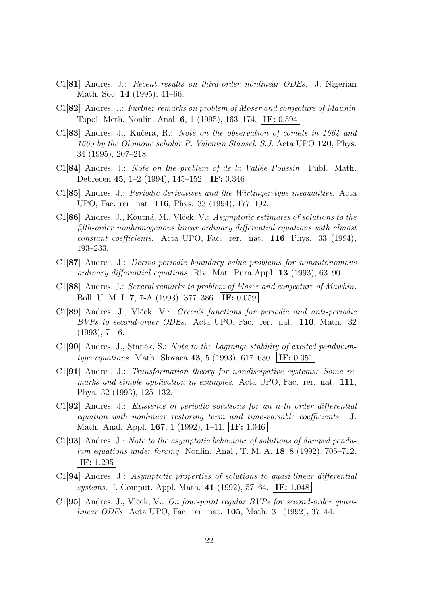- C1[81] Andres, J.: Recent results on third-order nonlinear ODEs. J. Nigerian Math. Soc. 14 (1995), 41–66.
- C1[82] Andres, J.: Further remarks on problem of Moser and conjecture of Mawhin. Topol. Meth. Nonlin. Anal. 6, 1 (1995), 163–174. IF: 0.594
- C1[83] Andres, J., Kučera, R.: Note on the observation of comets in 1664 and 1665 by the Olomouc scholar P. Valentin Stansel, S.J. Acta UPO 120, Phys. 34 (1995), 207–218.
- $C1[84]$  Andres, J.: Note on the problem of de la Vallée Poussin. Publ. Math. Debrecen 45, 1–2 (1994), 145–152. **IF:** 0.346
- C1[85] Andres, J.: Periodic derivatives and the Wirtinger-type inequalities. Acta UPO, Fac. rer. nat. 116, Phys. 33 (1994), 177–192.
- C1[86] Andres, J., Koutná, M., Vlček, V.: Asymptotic estimates of solutions to the fifth-order nonhomogenous linear ordinary differential equations with almost constant coefficients. Acta UPO, Fac. rer. nat. 116, Phys. 33 (1994), 193–233.
- C1[87] Andres, J.: Derivo-periodic boundary value problems for nonautonomous ordinary differential equations. Riv. Mat. Pura Appl. 13 (1993), 63–90.
- C1[88] Andres, J.: Several remarks to problem of Moser and conjecture of Mawhin. Boll. U. M. I. 7, 7-A (1993), 377–386. IF: 0.059
- C1<sup>[89]</sup> Andres, J., Vlček, V.: *Green's functions for periodic and anti-periodic* BVPs to second-order ODEs. Acta UPO, Fac. rer. nat. 110, Math. 32 (1993), 7–16.
- $C1[90]$  Andres, J., Staněk, S.: Note to the Lagrange stability of excited pendulumtype equations. Math. Slovaca 43, 5 (1993), 617–630. **IF:** 0.051
- C1[91] Andres, J.: Transformation theory for nondissipative systems: Some remarks and simple application in examples. Acta UPO, Fac. rer. nat. 111, Phys. 32 (1993), 125–132.
- C1[92] Andres, J.: Existence of periodic solutions for an n-th order differential equation with nonlinear restoring term and time-variable coefficients. J. Math. Anal. Appl. **167**, 1 (1992), 1–11. **IF:** 1.046
- C1[93] Andres, J.: Note to the asymptotic behaviour of solutions of damped pendulum equations under forcing. Nonlin. Anal., T. M. A. 18, 8 (1992), 705–712. IF: 1.295
- C1[94] Andres, J.: Asymptotic properties of solutions to quasi-linear differential systems. J. Comput. Appl. Math. 41 (1992), 57–64. IF: 1.048
- $C1[95]$  Andres, J., Vlček, V.: On four-point regular BVPs for second-order quasilinear ODEs. Acta UPO, Fac. rer. nat. 105, Math. 31 (1992), 37–44.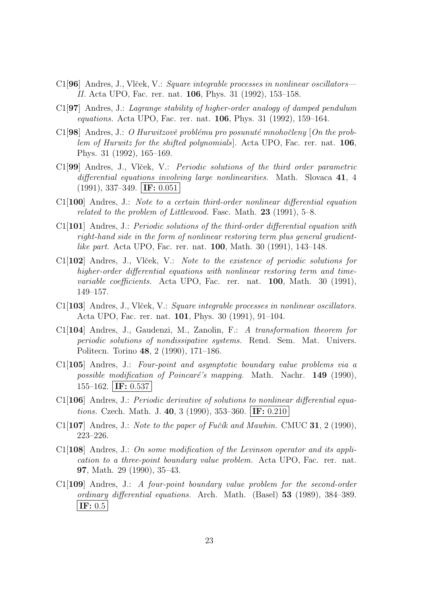- C1[96] Andres, J., Vlček, V.: Square integrable processes in nonlinear oscillators— II. Acta UPO, Fac. rer. nat. 106, Phys. 31 (1992), 153–158.
- C1[97] Andres, J.: Lagrange stability of higher-order analogy of damped pendulum equations. Acta UPO, Fac. rer. nat. 106, Phys. 31 (1992), 159–164.
- C1[98] Andres, J.: O Hurwitzově problému pro posunuté mnohočleny [On the problem of Hurwitz for the shifted polynomials. Acta UPO, Fac. rer. nat. 106, Phys. 31 (1992), 165–169.
- C1<sup>[99]</sup> Andres, J., Vlček, V.: *Periodic solutions of the third order parametric* differential equations involving large nonlinearities. Math. Slovaca 41, 4  $(1991), 337-349. \vert \text{IF: } 0.051 \vert$
- C1[100] Andres, J.: Note to a certain third-order nonlinear differential equation related to the problem of Littlewood. Fasc. Math.  $23$  (1991), 5–8.
- C1[101] Andres, J.: Periodic solutions of the third-order differential equation with right-hand side in the form of nonlinear restoring term plus general gradientlike part. Acta UPO, Fac. rer. nat. 100, Math. 30 (1991), 143–148.
- $C1[102]$  Andres, J., Vlček, V.: Note to the existence of periodic solutions for higher-order differential equations with nonlinear restoring term and timevariable coefficients. Acta UPO, Fac. rer. nat. 100, Math. 30 (1991), 149–157.
- C1[103] Andres, J., Vlček, V.: Square integrable processes in nonlinear oscillators. Acta UPO, Fac. rer. nat. 101, Phys. 30 (1991), 91–104.
- C1[104] Andres, J., Gaudenzi, M., Zanolin, F.: A transformation theorem for periodic solutions of nondissipative systems. Rend. Sem. Mat. Univers. Politecn. Torino 48, 2 (1990), 171–186.
- C1[105] Andres, J.: Four-point and asymptotic boundary value problems via a possible modification of Poincaré's mapping. Math. Nachr.  $149$  (1990), 155–162. **IF:** 0.537
- C1[106] Andres, J.: Periodic derivative of solutions to nonlinear differential equations. Czech. Math. J. 40, 3 (1990), 353–360. **IF:** 0.210
- C1[107] Andres, J.: Note to the paper of Fučík and Mawhin. CMUC 31, 2 (1990), 223–226.
- $C1[108]$  Andres, J.: On some modification of the Levinson operator and its application to a three-point boundary value problem. Acta UPO, Fac. rer. nat. 97, Math. 29 (1990), 35–43.
- C1[109] Andres, J.: A four-point boundary value problem for the second-order ordinary differential equations. Arch. Math. (Basel) 53 (1989), 384–389.  $|\text{IF: } 0.5|$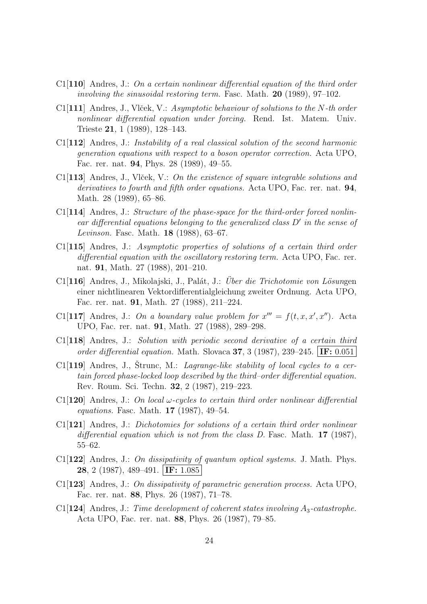- $C1[110]$  Andres, J.: On a certain nonlinear differential equation of the third order involving the sinusoidal restoring term. Fasc. Math.  $20$  (1989), 97–102.
- C1[111] Andres, J., Vlček, V.: Asymptotic behaviour of solutions to the N-th order nonlinear differential equation under forcing. Rend. Ist. Matem. Univ. Trieste 21, 1 (1989), 128–143.
- $C1[112]$  Andres, J.: Instability of a real classical solution of the second harmonic generation equations with respect to a boson operator correction. Acta UPO, Fac. rer. nat. 94, Phys. 28 (1989), 49–55.
- $C1[113]$  Andres, J., Vlček, V.: On the existence of square integrable solutions and derivatives to fourth and fifth order equations. Acta UPO, Fac. rer. nat. **94**, Math. 28 (1989), 65–86.
- $C1[114]$  Andres, J.: Structure of the phase-space for the third-order forced nonlinear differential equations belonging to the generalized class D′ in the sense of Levinson. Fasc. Math. 18 (1988), 63–67.
- C1[115] Andres, J.: Asymptotic properties of solutions of a certain third order differential equation with the oscillatory restoring term. Acta UPO, Fac. rer. nat. 91, Math. 27 (1988), 201–210.
- $C1[116]$  Andres, J., Mikolajski, J., Palát, J.: Über die Trichotomie von Lösungen einer nichtlinearen Vektordifferentialgleichung zweiter Ordnung. Acta UPO, Fac. rer. nat. 91, Math. 27 (1988), 211–224.
- C1[117] Andres, J.: On a boundary value problem for  $x''' = f(t, x, x', x'')$ . Acta UPO, Fac. rer. nat. 91, Math. 27 (1988), 289–298.
- C1[118] Andres, J.: Solution with periodic second derivative of a certain third order differential equation. Math. Slovaca 37, 3 (1987), 239–245. **IF:** 0.051
- $C1[119]$  Andres, J., Strunc, M.: *Lagrange-like stability of local cycles to a cer*tain forced phase-locked loop described by the third–order differential equation. Rev. Roum. Sci. Techn. 32, 2 (1987), 219–223.
- C1[120] Andres, J.: On local  $\omega$ -cycles to certain third order nonlinear differential equations. Fasc. Math. 17 (1987), 49–54.
- C1[121] Andres, J.: Dichotomies for solutions of a certain third order nonlinear differential equation which is not from the class D. Fasc. Math. 17 (1987), 55–62.
- C1[122] Andres, J.: On dissipativity of quantum optical systems. J. Math. Phys. 28, 2 (1987), 489–491. IF: 1.085
- C1[123] Andres, J.: On dissipativity of parametric generation process. Acta UPO, Fac. rer. nat. 88, Phys. 26 (1987), 71–78.
- C1[124] Andres, J.: Time development of coherent states involving  $A_3$ -catastrophe. Acta UPO, Fac. rer. nat. 88, Phys. 26 (1987), 79–85.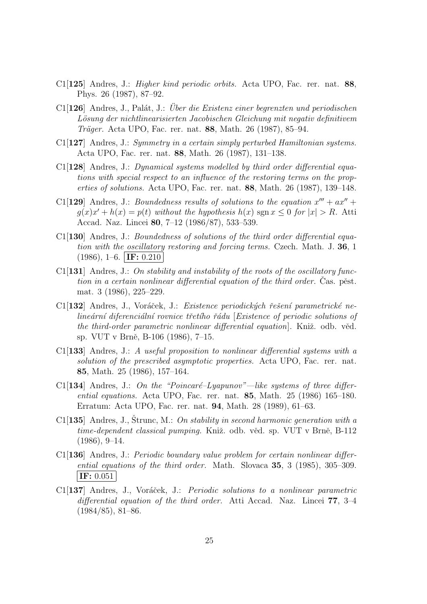- C1[125] Andres, J.: Higher kind periodic orbits. Acta UPO, Fac. rer. nat. 88, Phys. 26 (1987), 87–92.
- C1 $[126]$  Andres, J., Palát, J.: Über die Existenz einer begrenzten und periodischen Lösung der nichtlinearisierten Jacobischen Gleichung mit negativ definitivem Träger. Acta UPO, Fac. rer. nat. 88, Math. 26 (1987), 85–94.
- C1[127] Andres, J.: Symmetry in a certain simply perturbed Hamiltonian systems. Acta UPO, Fac. rer. nat. 88, Math. 26 (1987), 131–138.
- C1 $[128]$  Andres, J.: Dynamical systems modelled by third order differential equations with special respect to an influence of the restoring terms on the properties of solutions. Acta UPO, Fac. rer. nat. 88, Math. 26 (1987), 139–148.
- C1[129] Andres, J.: Boundedness results of solutions to the equation  $x''' + ax'' +$  $g(x)x' + h(x) = p(t)$  without the hypothesis  $h(x)$  sgn  $x \leq 0$  for  $|x| > R$ . Atti Accad. Naz. Lincei 80, 7–12 (1986/87), 533–539.
- C1[130] Andres, J.: Boundedness of solutions of the third order differential equation with the oscillatory restoring and forcing terms. Czech. Math. J. 36, 1  $(1986), 1-6. | \text{IF: } 0.210 |$
- C1[131] Andres, J.: On stability and instability of the roots of the oscillatory function in a certain nonlinear differential equation of the third order. Cas. pest. mat. 3 (1986), 225–229.
- C1[132] Andres, J., Voráček, J.: Existence periodických řešení parametrické nelineární diferenciální rovnice třetího řádu [Existence of periodic solutions of the third-order parametric nonlinear differential equation. Kniž. odb. věd. sp. VUT v Brně, B-106 (1986), 7-15.
- C1[133] Andres, J.: A useful proposition to nonlinear differential systems with a solution of the prescribed asymptotic properties. Acta UPO, Fac. rer. nat. 85, Math. 25 (1986), 157–164.
- C1[134] Andres, J.: On the "Poincaré–Lyapunov"—like systems of three differential equations. Acta UPO, Fac. rer. nat. 85, Math. 25 (1986) 165–180. Erratum: Acta UPO, Fac. rer. nat. 94, Math. 28 (1989), 61–63.
- C1[135] Andres, J., Strunc, M.: On stability in second harmonic generation with a time-dependent classical pumping. Kniž. odb. věd. sp. VUT v Brně, B-112  $(1986), 9-14.$
- C1[136] Andres, J.: Periodic boundary value problem for certain nonlinear differential equations of the third order. Math. Slovaca 35, 3 (1985), 305–309.  $|\text{IF: } 0.051|$
- C1[137] Andres, J., Voráček, J.: Periodic solutions to a nonlinear parametric differential equation of the third order. Atti Accad. Naz. Lincei 77, 3–4  $(1984/85), 81–86.$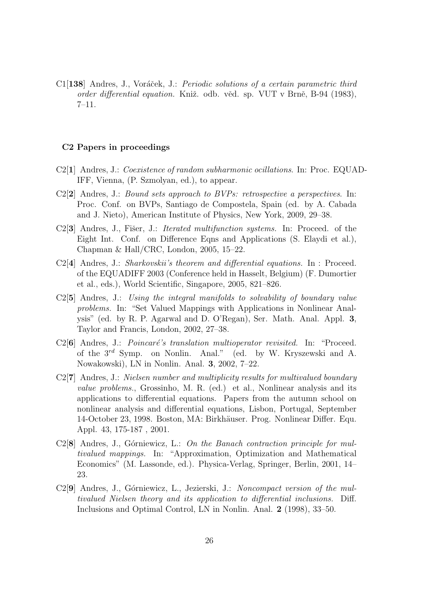C1 $[138]$  Andres, J., Voráček, J.: *Periodic solutions of a certain parametric third* order differential equation. Kniž. odb. věd. sp. VUT v Brně, B-94 (1983), 7–11.

#### C2 Papers in proceedings

- C2[1] Andres, J.: Coexistence of random subharmonic ocillations. In: Proc. EQUAD-IFF, Vienna, (P. Szmolyan, ed.), to appear.
- C2[2] Andres, J.: Bound sets approach to BVPs: retrospective a perspectives. In: Proc. Conf. on BVPs, Santiago de Compostela, Spain (ed. by A. Cabada and J. Nieto), American Institute of Physics, New York, 2009, 29–38.
- $C2[3]$  Andres, J., Fiser, J.: *Iterated multifunction systems*. In: Proceed. of the Eight Int. Conf. on Difference Eqns and Applications (S. Elaydi et al.), Chapman & Hall/CRC, London, 2005, 15–22.
- C2[4] Andres, J.: Sharkovskii's theorem and differential equations. In : Proceed. of the EQUADIFF 2003 (Conference held in Hasselt, Belgium) (F. Dumortier et al., eds.), World Scientific, Singapore, 2005, 821–826.
- C2[5] Andres, J.: Using the integral manifolds to solvability of boundary value problems. In: "Set Valued Mappings with Applications in Nonlinear Analysis" (ed. by R. P. Agarwal and D. O'Regan), Ser. Math. Anal. Appl. 3, Taylor and Francis, London, 2002, 27–38.
- C2[6] Andres, J.: Poincaré's translation multioperator revisited. In: "Proceed. of the 3rd Symp. on Nonlin. Anal." (ed. by W. Kryszewski and A. Nowakowski), LN in Nonlin. Anal. 3, 2002, 7–22.
- C2[7] Andres, J.: Nielsen number and multiplicity results for multivalued boundary value problems., Grossinho, M. R. (ed.) et al., Nonlinear analysis and its applications to differential equations. Papers from the autumn school on nonlinear analysis and differential equations, Lisbon, Portugal, September 14-October 23, 1998. Boston, MA: Birkhäuser. Prog. Nonlinear Differ. Equ. Appl. 43, 175-187 , 2001.
- $C2[8]$  Andres, J., Górniewicz, L.: On the Banach contraction principle for multivalued mappings. In: "Approximation, Optimization and Mathematical Economics" (M. Lassonde, ed.). Physica-Verlag, Springer, Berlin, 2001, 14– 23.
- $C2[9]$  Andres, J., Górniewicz, L., Jezierski, J.: Noncompact version of the multivalued Nielsen theory and its application to differential inclusions. Diff. Inclusions and Optimal Control, LN in Nonlin. Anal. 2 (1998), 33–50.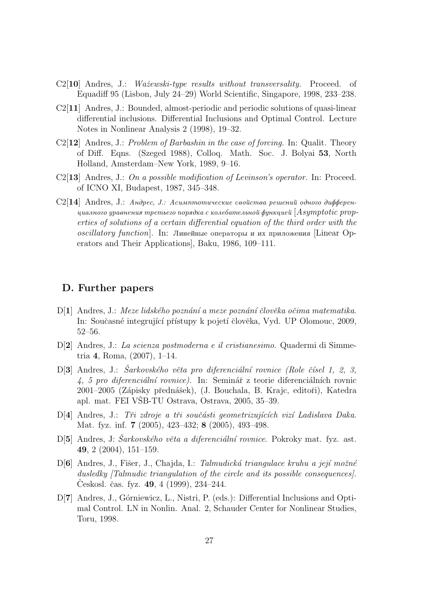- C2<sup>[</sup>10] Andres, J.: *Ważewski-type results without transversality*. Proceed. of Equadiff 95 (Lisbon, July 24–29) World Scientific, Singapore, 1998, 233–238.
- C2[11] Andres, J.: Bounded, almost-periodic and periodic solutions of quasi-linear differential inclusions. Differential Inclusions and Optimal Control. Lecture Notes in Nonlinear Analysis 2 (1998), 19–32.
- $C2[12]$  Andres, J.: *Problem of Barbashin in the case of forcing*. In: Qualit. Theory of Diff. Eqns. (Szeged 1988), Colloq. Math. Soc. J. Bolyai 53, North Holland, Amsterdam–New York, 1989, 9–16.
- C2[13] Andres, J.: On a possible modification of Levinson's operator. In: Proceed. of ICNO XI, Budapest, 1987, 345–348.
- $C2[14]$  Andres, J.: Andrec, J.: Acummomuyeckue свойства решений одного дифференциалного уравнения третьего порядка с колебательной функцией  $[Asymptotic\ prop$ erties of solutions of a certain differential equation of the third order with the oscillatory function. In: Линейные операторы и их приложения [Linear Operators and Their Applications], Baku, 1986, 109–111.

#### D. Further papers

- $D[1]$  Andres, J.: Meze lidského poznání a meze poznání člověka očima matematika. In: Současné integrující přístupy k pojetí člověka, Vyd. UP Olomouc, 2009, 52–56.
- D[2] Andres, J.: La scienza postmoderna e il cristianesimo. Quadermi di Simmetria 4, Roma, (2007), 1–14.
- D[3] Andres, J.: Sarkovského věta pro diferenciální rovnice (Role čísel 1, 2, 3,  $\mu$ , 5 pro diferenciální rovnice). In: Seminář z teorie diferenciálních rovnic 2001–2005 (Zápisky přednášek), (J. Bouchala, B. Krajc, editoři), Katedra apl. mat. FEI VSB-TU Ostrava, Ostrava,  $2005, 35-39$ .
- D[4] Andres, J.: Tři zdroje a tři součásti geometrizujících vizí Ladislava Daka. Mat. fyz. inf. 7 (2005), 423–432; 8 (2005), 493–498.
- D[5] Andres, J: Sarkovského věta a diferenciální rovnice. Pokroky mat. fyz. ast. 49, 2 (2004), 151–159.
- $D[6]$  Andres, J., Fišer, J., Chajda, I.: Talmudická triangulace kruhu a její možné dusledky [Talmudic triangulation of the circle and its possible consequences]. Českosl. čas. fyz. 49, 4 (1999), 234–244.
- D[7] Andres, J., Górniewicz, L., Nistri, P. (eds.): Differential Inclusions and Optimal Control. LN in Nonlin. Anal. 2, Schauder Center for Nonlinear Studies, Toru, 1998.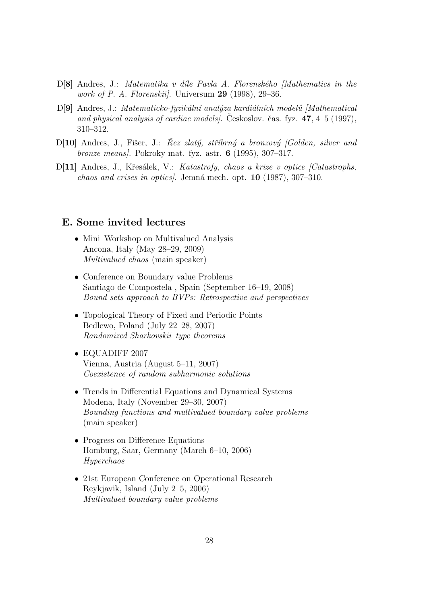- $D[8]$  Andres, J.: Matematika v díle Pavla A. Florenského [Mathematics in the work of P. A. Florenskii. Universum  $29$  (1998), 29–36.
- $D[9]$  Andres, J.: Matematicko-fyzikální analýza kardiálních modelů [Mathematical] and physical analysis of cardiac models). Ceskoslov. čas. fyz.  $47, 4-5$  (1997), 310–312.
- D[10] Andres, J., Fišer, J.: Rez zlatý, stříbrný a bronzový [Golden, silver and bronze means]. Pokroky mat. fyz. astr. 6 (1995), 307–317.
- D[11] Andres, J., Křesálek, V.: Katastrofy, chaos a krize v optice [Catastrophs, chaos and crises in optics. Jemná mech. opt.  $10$  (1987), 307-310.

### E. Some invited lectures

- Mini–Workshop on Multivalued Analysis Ancona, Italy (May 28–29, 2009) Multivalued chaos (main speaker)
- Conference on Boundary value Problems Santiago de Compostela , Spain (September 16–19, 2008) Bound sets approach to BVPs: Retrospective and perspectives
- Topological Theory of Fixed and Periodic Points Bedlewo, Poland (July 22–28, 2007) Randomized Sharkovskii–type theorems
- EQUADIFF 2007 Vienna, Austria (August 5–11, 2007) Coexistence of random subharmonic solutions
- Trends in Differential Equations and Dynamical Systems Modena, Italy (November 29–30, 2007) Bounding functions and multivalued boundary value problems (main speaker)
- Progress on Difference Equations Homburg, Saar, Germany (March 6–10, 2006) Hyperchaos
- 21st European Conference on Operational Research Reykjavik, Island (July 2–5, 2006) Multivalued boundary value problems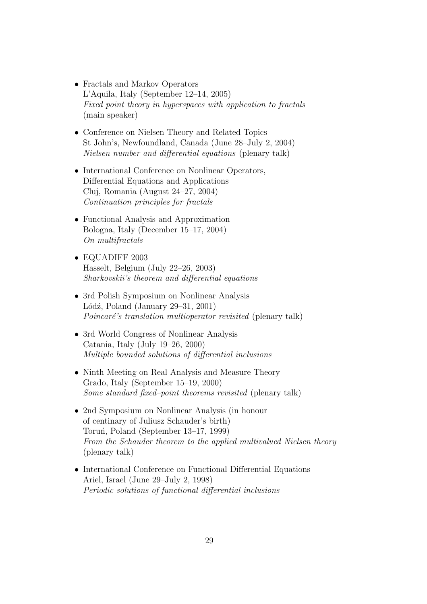- Fractals and Markov Operators L'Aquila, Italy (September 12–14, 2005) Fixed point theory in hyperspaces with application to fractals (main speaker)
- Conference on Nielsen Theory and Related Topics St John's, Newfoundland, Canada (June 28–July 2, 2004) Nielsen number and differential equations (plenary talk)
- International Conference on Nonlinear Operators, Differential Equations and Applications Cluj, Romania (August 24–27, 2004) Continuation principles for fractals
- Functional Analysis and Approximation Bologna, Italy (December 15–17, 2004) On multifractals
- EQUADIFF 2003 Hasselt, Belgium (July 22–26, 2003) Sharkovskii's theorem and differential equations
- 3rd Polish Symposium on Nonlinear Analysis Lódź, Poland (January 29–31, 2001) Poincaré's translation multioperator revisited (plenary talk)
- 3rd World Congress of Nonlinear Analysis Catania, Italy (July 19–26, 2000) Multiple bounded solutions of differential inclusions
- Ninth Meeting on Real Analysis and Measure Theory Grado, Italy (September 15–19, 2000) Some standard fixed–point theorems revisited (plenary talk)
- 2nd Symposium on Nonlinear Analysis (in honour of centinary of Juliusz Schauder's birth) Toruń, Poland (September 13–17, 1999) From the Schauder theorem to the applied multivalued Nielsen theory (plenary talk)
- International Conference on Functional Differential Equations Ariel, Israel (June 29–July 2, 1998) Periodic solutions of functional differential inclusions